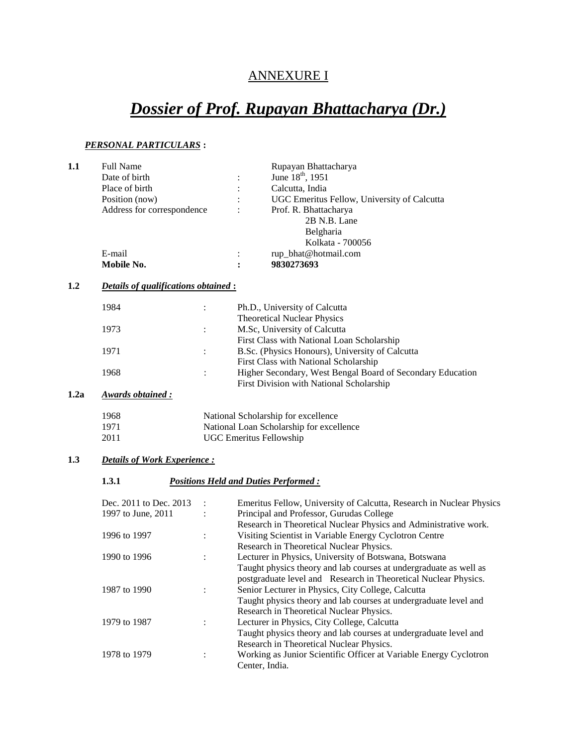# ANNEXURE I

# *Dossier of Prof. Rupayan Bhattacharya (Dr.)*

### *PERSONAL PARTICULARS* **:**

| 1.1  | <b>Full Name</b>                                               |                                    | Rupayan Bhattacharya                                                 |  |              |  |
|------|----------------------------------------------------------------|------------------------------------|----------------------------------------------------------------------|--|--------------|--|
|      | Date of birth                                                  |                                    | June 18 <sup>th</sup> , 1951                                         |  |              |  |
|      | Place of birth<br>Position (now)<br>Address for correspondence |                                    | Calcutta, India                                                      |  |              |  |
|      |                                                                |                                    | UGC Emeritus Fellow, University of Calcutta<br>Prof. R. Bhattacharya |  |              |  |
|      |                                                                |                                    |                                                                      |  | 2B N.B. Lane |  |
|      |                                                                |                                    |                                                                      |  | Belgharia    |  |
|      |                                                                |                                    | Kolkata - 700056                                                     |  |              |  |
|      |                                                                |                                    |                                                                      |  |              |  |
|      | E-mail<br>Mobile No.                                           |                                    | rup_bhat@hotmail.com<br>9830273693                                   |  |              |  |
| 1.2  | Details of qualifications obtained :                           |                                    |                                                                      |  |              |  |
|      |                                                                |                                    |                                                                      |  |              |  |
|      | 1984                                                           |                                    | Ph.D., University of Calcutta                                        |  |              |  |
|      |                                                                |                                    | <b>Theoretical Nuclear Physics</b>                                   |  |              |  |
|      | 1973                                                           | $\ddot{\cdot}$                     | M.Sc, University of Calcutta                                         |  |              |  |
|      |                                                                |                                    | First Class with National Loan Scholarship                           |  |              |  |
|      | 1971                                                           | $\ddot{\cdot}$                     | B.Sc. (Physics Honours), University of Calcutta                      |  |              |  |
|      |                                                                |                                    | First Class with National Scholarship                                |  |              |  |
|      | 1968                                                           |                                    | Higher Secondary, West Bengal Board of Secondary Education           |  |              |  |
|      |                                                                |                                    | First Division with National Scholarship                             |  |              |  |
| 1.2a | <b>Awards obtained:</b>                                        |                                    |                                                                      |  |              |  |
|      |                                                                |                                    |                                                                      |  |              |  |
|      | 1968                                                           |                                    | National Scholarship for excellence                                  |  |              |  |
|      | 1971                                                           |                                    | National Loan Scholarship for excellence                             |  |              |  |
|      | 2011                                                           |                                    | <b>UGC Emeritus Fellowship</b>                                       |  |              |  |
| 1.3  |                                                                | <b>Details of Work Experience:</b> |                                                                      |  |              |  |
|      | 1.3.1                                                          |                                    | <b>Positions Held and Duties Performed:</b>                          |  |              |  |
|      | Dec. 2011 to Dec. 2013                                         |                                    | Emeritus Fellow, University of Calcutta, Research in Nuclear Physics |  |              |  |
|      | 1997 to June, 2011                                             | $\ddot{\cdot}$                     | Principal and Professor, Gurudas College                             |  |              |  |
|      |                                                                |                                    | Research in Theoretical Nuclear Physics and Administrative work.     |  |              |  |
|      | 1996 to 1997                                                   |                                    |                                                                      |  |              |  |
|      |                                                                | $\ddot{\cdot}$                     | Visiting Scientist in Variable Energy Cyclotron Centre               |  |              |  |
|      |                                                                |                                    | Research in Theoretical Nuclear Physics.                             |  |              |  |
|      | 1990 to 1996                                                   | :                                  | Lecturer in Physics, University of Botswana, Botswana                |  |              |  |
|      |                                                                |                                    | Taught physics theory and lab courses at undergraduate as well as    |  |              |  |
|      |                                                                |                                    | postgraduate level and Research in Theoretical Nuclear Physics.      |  |              |  |
|      | 1987 to 1990                                                   | $\vdots$                           | Senior Lecturer in Physics, City College, Calcutta                   |  |              |  |
|      |                                                                |                                    | Taught physics theory and lab courses at undergraduate level and     |  |              |  |
|      |                                                                |                                    | Research in Theoretical Nuclear Physics.                             |  |              |  |
|      | 1979 to 1987                                                   | :                                  | Lecturer in Physics, City College, Calcutta                          |  |              |  |
|      |                                                                |                                    | Taught physics theory and lab courses at undergraduate level and     |  |              |  |
|      |                                                                |                                    | Research in Theoretical Nuclear Physics.                             |  |              |  |
|      | 1978 to 1979                                                   | :                                  | Working as Junior Scientific Officer at Variable Energy Cyclotron    |  |              |  |
|      |                                                                |                                    | Center, India.                                                       |  |              |  |
|      |                                                                |                                    |                                                                      |  |              |  |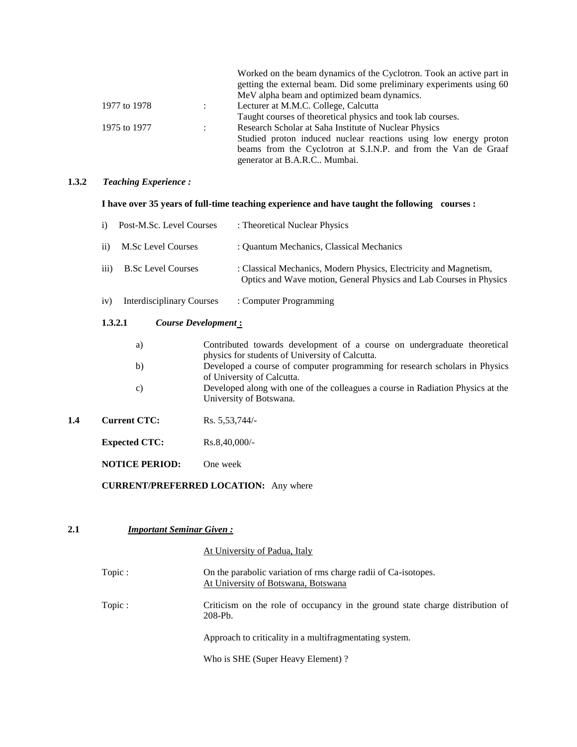|              |                | Worked on the beam dynamics of the Cyclotron. Took an active part in |
|--------------|----------------|----------------------------------------------------------------------|
|              |                | getting the external beam. Did some preliminary experiments using 60 |
|              |                | MeV alpha beam and optimized beam dynamics.                          |
| 1977 to 1978 | $\mathbb{R}^n$ | Lecturer at M.M.C. College, Calcutta                                 |
|              |                | Taught courses of theoretical physics and took lab courses.          |
| 1975 to 1977 |                | Research Scholar at Saha Institute of Nuclear Physics                |
|              |                | Studied proton induced nuclear reactions using low energy proton     |
|              |                | beams from the Cyclotron at S.I.N.P. and from the Van de Graaf       |
|              |                | generator at B.A.R.C Mumbai.                                         |

#### **1.3.2** *Teaching Experience :*

# **I have over 35 years of full-time teaching experience and have taught the following courses :**

|     | Post-M.Sc. Level Courses<br>$\mathbf{i}$      |  | : Theoretical Nuclear Physics                                                                                                           |
|-----|-----------------------------------------------|--|-----------------------------------------------------------------------------------------------------------------------------------------|
|     | $\rm ii)$<br>M.Sc Level Courses               |  | : Quantum Mechanics, Classical Mechanics                                                                                                |
|     | $\overline{iii}$<br><b>B.Sc Level Courses</b> |  | : Classical Mechanics, Modern Physics, Electricity and Magnetism,<br>Optics and Wave motion, General Physics and Lab Courses in Physics |
|     | <b>Interdisciplinary Courses</b><br>iv)       |  | : Computer Programming                                                                                                                  |
|     | 1.3.2.1<br><b>Course Development:</b>         |  |                                                                                                                                         |
|     | a)                                            |  | Contributed towards development of a course on undergraduate theoretical<br>physics for students of University of Calcutta.             |
|     | b)                                            |  | Developed a course of computer programming for research scholars in Physics<br>of University of Calcutta.                               |
|     | C)                                            |  | Developed along with one of the colleagues a course in Radiation Physics at the<br>University of Botswana.                              |
| 1.4 | <b>Current CTC:</b>                           |  | Rs. 5,53,744/                                                                                                                           |
|     | <b>Expected CTC:</b>                          |  | $Rs.8,40,000/$ -                                                                                                                        |

**NOTICE PERIOD:** One week

# **CURRENT/PREFERRED LOCATION:** Any where

# **2.1** *Important Seminar Given :*

At University of Padua, Italy

| Topic: | On the parabolic variation of rms charge radii of Ca-isotopes.<br>At University of Botswana, Botswana |
|--------|-------------------------------------------------------------------------------------------------------|
| Topic: | Criticism on the role of occupancy in the ground state charge distribution of<br>$208-Pb.$            |
|        | Approach to criticality in a multifragmentating system.                                               |
|        |                                                                                                       |

Who is SHE (Super Heavy Element) ?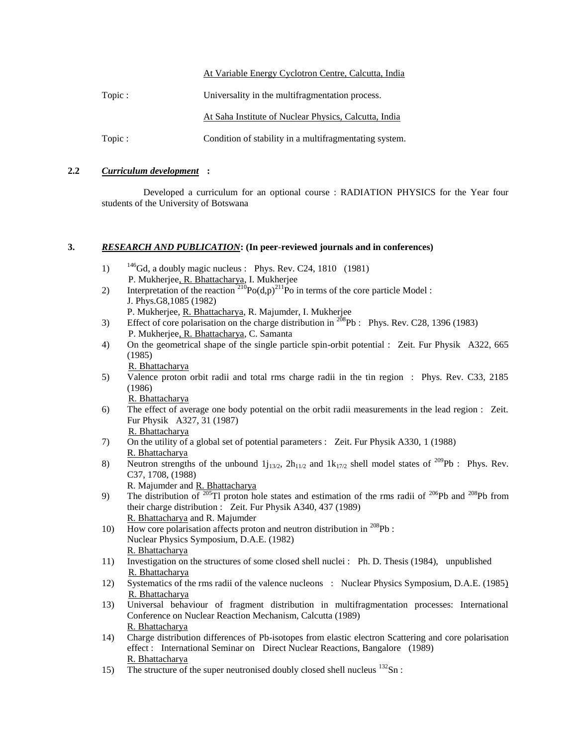#### At Variable Energy Cyclotron Centre, Calcutta, India

| Topic: | Universality in the multifragmentation process.        |
|--------|--------------------------------------------------------|
|        | At Saha Institute of Nuclear Physics, Calcutta, India  |
| Topic: | Condition of stability in a multifragmentating system. |

#### **2.2** *Curriculum development* **:**

 Developed a curriculum for an optional course : RADIATION PHYSICS for the Year four students of the University of Botswana

#### **3.** *RESEARCH AND PUBLICATION***: (In peer-reviewed journals and in conferences)**

- 1)  $146\text{Gd}$ , a doubly magic nucleus : Phys. Rev. C24, 1810 (1981) P. Mukherjee, R. Bhattacharya, I. Mukherjee
- 2) Interpretation of the reaction  $^{210}Po(d,p)^{211}Po$  in terms of the core particle Model : J. Phys.G8,1085 (1982)
	- P. Mukherjee, R. Bhattacharya, R. Majumder, I. Mukherjee
- 3) Effect of core polarisation on the charge distribution in  $^{208}Pb$  : Phys. Rev. C28, 1396 (1983) P. Mukherjee, R. Bhattacharya, C. Samanta
- 4) On the geometrical shape of the single particle spin-orbit potential : Zeit. Fur Physik A322, 665 (1985)

R. Bhattacharya

5) Valence proton orbit radii and total rms charge radii in the tin region : Phys. Rev. C33, 2185 (1986)

R. Bhattacharya

6) The effect of average one body potential on the orbit radii measurements in the lead region : Zeit. Fur Physik A327, 31 (1987)

R. Bhattacharya

- 7) On the utility of a global set of potential parameters : Zeit. Fur Physik A330, 1 (1988) R. Bhattacharya
- 8) Neutron strengths of the unbound  $1j_{13/2}$ ,  $2h_{11/2}$  and  $1k_{17/2}$  shell model states of  $209Pb$  : Phys. Rev. C37, 1708, (1988)

R. Majumder and R. Bhattacharya

- 9) The distribution of <sup>205</sup>Tl proton hole states and estimation of the rms radii of <sup>206</sup>Pb and <sup>208</sup>Pb from their charge distribution : Zeit. Fur Physik A340, 437 (1989) R. Bhattacharya and R. Majumder
- 10) How core polarisation affects proton and neutron distribution in  $^{208}Pb$ : Nuclear Physics Symposium, D.A.E. (1982) R. Bhattacharya
- 11) Investigation on the structures of some closed shell nuclei : Ph. D. Thesis (1984), unpublished R. Bhattacharya
- 12) Systematics of the rms radii of the valence nucleons : Nuclear Physics Symposium, D.A.E. (1985) R. Bhattacharya
- 13) Universal behaviour of fragment distribution in multifragmentation processes: International Conference on Nuclear Reaction Mechanism, Calcutta (1989) R. Bhattacharya
- 14) Charge distribution differences of Pb-isotopes from elastic electron Scattering and core polarisation effect : International Seminar on Direct Nuclear Reactions, Bangalore (1989) R. Bhattacharya
- 15) The structure of the super neutronised doubly closed shell nucleus  $132$ Sn :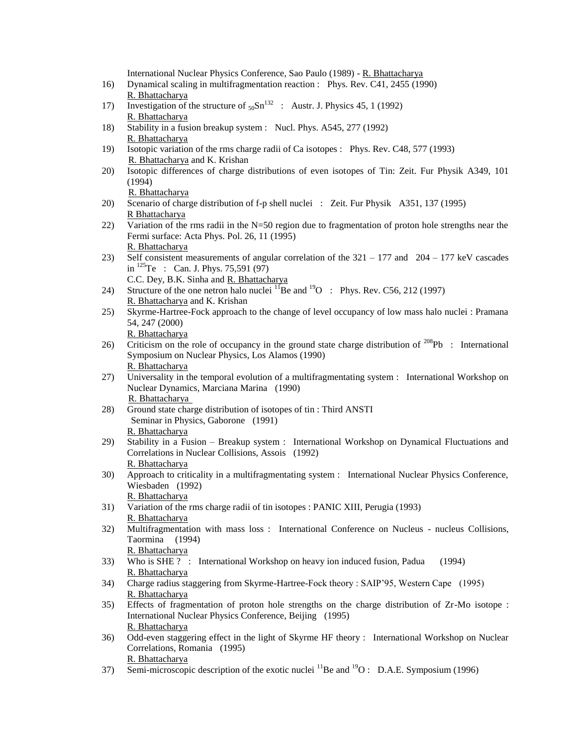International Nuclear Physics Conference, Sao Paulo (1989) - R. Bhattacharya

- 16) Dynamical scaling in multifragmentation reaction : Phys. Rev. C41, 2455 (1990) R. Bhattacharya
- 17) Investigation of the structure of  $50\text{Sn}^{132}$ : Austr. J. Physics 45, 1 (1992) R. Bhattacharya
- 18) Stability in a fusion breakup system : Nucl. Phys. A545, 277 (1992) R. Bhattacharya
- 19) Isotopic variation of the rms charge radii of Ca isotopes : Phys. Rev. C48, 577 (1993) R. Bhattacharya and K. Krishan
- 20) Isotopic differences of charge distributions of even isotopes of Tin: Zeit. Fur Physik A349, 101 (1994)

R. Bhattacharya

- 20) Scenario of charge distribution of f-p shell nuclei : Zeit. Fur Physik A351, 137 (1995) R Bhattacharya
- 22) Variation of the rms radii in the N=50 region due to fragmentation of proton hole strengths near the Fermi surface: Acta Phys. Pol. 26, 11 (1995) R. Bhattacharya
- 23) Self consistent measurements of angular correlation of the 321 177 and 204 177 keV cascades in  $^{125}$ Te : Can. J. Phys. 75,591 (97) C.C. Dey, B.K. Sinha and R. Bhattacharya
- 24) Structure of the one netron halo nuclei  $^{11}$ Be and  $^{19}$ O : Phys. Rev. C56, 212 (1997) R. Bhattacharya and K. Krishan
- 25) Skyrme-Hartree-Fock approach to the change of level occupancy of low mass halo nuclei : Pramana 54, 247 (2000) R. Bhattacharya
- 26) Criticism on the role of occupancy in the ground state charge distribution of <sup>208</sup>Pb : International Symposium on Nuclear Physics, Los Alamos (1990) R. Bhattacharya
- 27) Universality in the temporal evolution of a multifragmentating system : International Workshop on Nuclear Dynamics, Marciana Marina (1990) R. Bhattacharya
- 28) Ground state charge distribution of isotopes of tin : Third ANSTI Seminar in Physics, Gaborone (1991) R. Bhattacharya
- 29) Stability in a Fusion Breakup system : International Workshop on Dynamical Fluctuations and Correlations in Nuclear Collisions, Assois (1992) R. Bhattacharya
- 30) Approach to criticality in a multifragmentating system : International Nuclear Physics Conference, Wiesbaden (1992) R. Bhattacharya
- 31) Variation of the rms charge radii of tin isotopes : PANIC XIII, Perugia (1993) R. Bhattacharya
- 32) Multifragmentation with mass loss : International Conference on Nucleus nucleus Collisions, Taormina (1994) R. Bhattacharya
- 33) Who is SHE ? : International Workshop on heavy ion induced fusion, Padua (1994) R. Bhattacharya
- 34) Charge radius staggering from Skyrme-Hartree-Fock theory : SAIP'95, Western Cape (1995) R. Bhattacharya
- 35) Effects of fragmentation of proton hole strengths on the charge distribution of Zr-Mo isotope : International Nuclear Physics Conference, Beijing (1995) R. Bhattacharya
- 36) Odd-even staggering effect in the light of Skyrme HF theory : International Workshop on Nuclear Correlations, Romania (1995) R. Bhattacharya
- $\overline{\text{Semi-microscopic description of the exotic nuclei}^{11}\text{Be and }^{19}\text{O}: \text{D.A.E. Symposium (1996)}$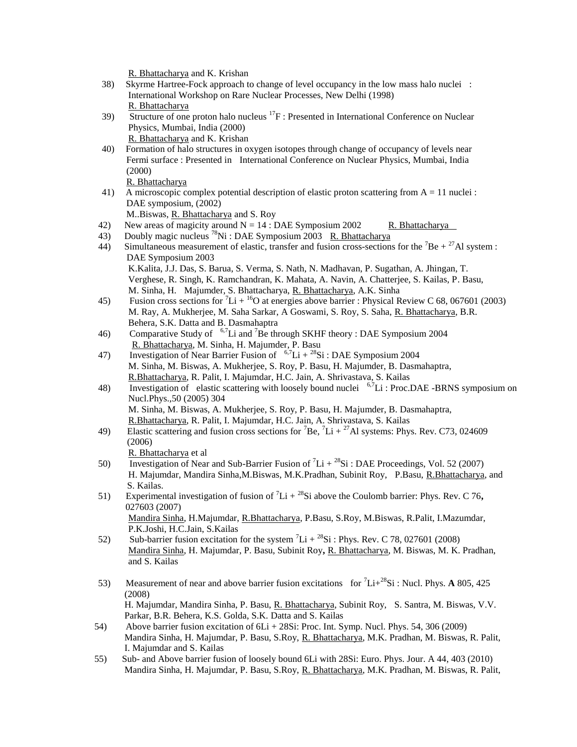R. Bhattacharya and K. Krishan

- 38) Skyrme Hartree-Fock approach to change of level occupancy in the low mass halo nuclei : International Workshop on Rare Nuclear Processes, New Delhi (1998) R. Bhattacharya
- 39) Structure of one proton halo nucleus  ${}^{17}F$  : Presented in International Conference on Nuclear Physics, Mumbai, India (2000) R. Bhattacharya and K. Krishan

 40) Formation of halo structures in oxygen isotopes through change of occupancy of levels near Fermi surface : Presented in International Conference on Nuclear Physics, Mumbai, India (2000)

R. Bhattacharya

 41) A microscopic complex potential description of elastic proton scattering from A = 11 nuclei : DAE symposium, (2002)

M..Biswas, R. Bhattacharya and S. Roy

- 42) New areas of magicity around  $N = 14$  : DAE Symposium 2002 R. Bhattacharya
- 43) Doubly magic nucleus  $^{78}$ Ni : DAE Symposium 2003 R. Bhattacharya
- 44) Simultaneous measurement of elastic, transfer and fusion cross-sections for the <sup>7</sup>Be + <sup>27</sup>Al system : DAE Symposium 2003 K.Kalita, J.J. Das, S. Barua, S. Verma, S. Nath, N. Madhavan, P. Sugathan, A. Jhingan, T. Verghese, R. Singh, K. Ramchandran, K. Mahata, A. Navin, A. Chatterjee, S. Kailas, P. Basu, M. Sinha, H. Majumder, S. Bhattacharya, R. Bhattacharya, A.K. Sinha
- 45) Fusion cross sections for  ${}^{7}Li + {}^{16}O$  at energies above barrier : Physical Review C 68, 067601 (2003) M. Ray, A. Mukherjee, M. Saha Sarkar, A Goswami, S. Roy, S. Saha, R. Bhattacharya, B.R. Behera, S.K. Datta and B. Dasmahaptra
- 46) Comparative Study of  $^{6,7}$ Li and <sup>7</sup>Be through SKHF theory : DAE Symposium 2004 R. Bhattacharya, M. Sinha, H. Majumder, P. Basu
- 47) Investigation of Near Barrier Fusion of  $6.7Li + 28Si$ : DAE Symposium 2004 M. Sinha, M. Biswas, A. Mukherjee, S. Roy, P. Basu, H. Majumder, B. Dasmahaptra, R.Bhattacharya, R. Palit, I. Majumdar, H.C. Jain, A. Shrivastava, S. Kailas
- 48) Investigation of elastic scattering with loosely bound nuclei  $6.7Li$  : Proc.DAE -BRNS symposium on Nucl.Phys.,50 (2005) 304 M. Sinha, M. Biswas, A. Mukherjee, S. Roy, P. Basu, H. Majumder, B. Dasmahaptra,
	- R.Bhattacharya, R. Palit, I. Majumdar, H.C. Jain, A. Shrivastava, S. Kailas
- 49) Elastic scattering and fusion cross sections for <sup>7</sup>Be,  ${}^{7}$ Li +  ${}^{27}$ Al systems: Phys. Rev. C73, 024609 (2006)

R. Bhattacharya et al

and S. Kailas

- 50) Investigation of Near and Sub-Barrier Fusion of <sup>7</sup>Li + <sup>28</sup>Si : DAE Proceedings, Vol. 52 (2007) H. Majumdar, Mandira Sinha,M.Biswas, M.K.Pradhan, Subinit Roy, P.Basu, R.Bhattacharya, and S. Kailas.
- 51) Experimental investigation of fusion of <sup>7</sup>Li + <sup>28</sup>Si above the Coulomb barrier: Phys. Rev. C 76, 027603 (2007) Mandira Sinha, H.Majumdar, R.Bhattacharya, P.Basu, S.Roy, M.Biswas, R.Palit, I.Mazumdar,
- P.K.Joshi, H.C.Jain, S.Kailas 52) Sub-barrier fusion excitation for the system  ${}^{7}Li + {}^{28}Si$  : Phys. Rev. C 78, 027601 (2008) Mandira Sinha, H. Majumdar, P. Basu, Subinit Roy**,** R. Bhattacharya, M. Biswas, M. K. Pradhan,
- 53) Measurement of near and above barrier fusion excitations for <sup>7</sup>Li+<sup>28</sup>Si : Nucl. Phys. **A** 805, 425 (2008) H. Majumdar, Mandira Sinha, P. Basu, R. Bhattacharya, Subinit Roy, S. Santra, M. Biswas, V.V. Parkar, B.R. Behera, K.S. Golda, S.K. Datta and S. Kailas
- 54) Above barrier fusion excitation of 6Li + 28Si: Proc. Int. Symp. Nucl. Phys. 54, 306 (2009) Mandira Sinha, H. Majumdar, P. Basu, S.Roy, R. Bhattacharya, M.K. Pradhan, M. Biswas, R. Palit, I. Majumdar and S. Kailas
- 55) Sub- and Above barrier fusion of loosely bound 6Li with 28Si: Euro. Phys. Jour. A 44, 403 (2010) Mandira Sinha, H. Majumdar, P. Basu, S.Roy, R. Bhattacharya, M.K. Pradhan, M. Biswas, R. Palit,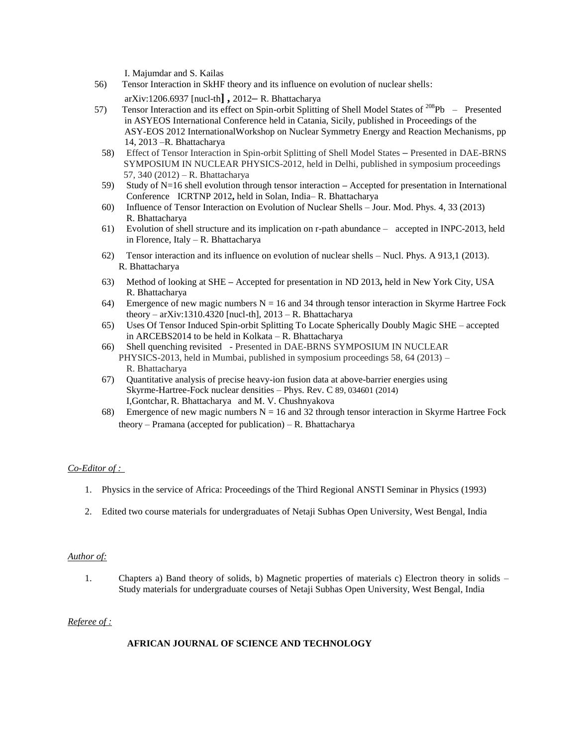I. Majumdar and S. Kailas

- 56) Tensor Interaction in SkHF theory and its influence on evolution of nuclear shells: [arXiv:1206.6937](http://arxiv.org/abs/1206.6937) [nucl-th**] ,** 2012**–** R. Bhattacharya
- 57) Tensor Interaction and its effect on Spin-orbit Splitting of Shell Model States of <sup>208</sup>Pb Presented in ASYEOS International Conference held in Catania, Sicily, published in Proceedings of the ASY-EOS 2012 InternationalWorkshop on Nuclear Symmetry Energy and Reaction Mechanisms, pp 14, 2013 –R. Bhattacharya
	- 58) Effect of Tensor Interaction in Spin-orbit Splitting of Shell Model States Presented in DAE-BRNS SYMPOSIUM IN NUCLEAR PHYSICS-2012, held in Delhi, published in symposium proceedings 57, 340 (2012) – R. Bhattacharya
	- 59) Study of N=16 shell evolution through tensor interaction **–** Accepted for presentation in International Conference ICRTNP 2012**,** held in Solan, India– R. Bhattacharya
	- 60) Influence of Tensor Interaction on Evolution of Nuclear Shells Jour. Mod. Phys. 4, 33 (2013) R. Bhattacharya
	- 61) Evolution of shell structure and its implication on r-path abundance accepted in INPC-2013, held in Florence, Italy – R. Bhattacharya
	- 62) Tensor interaction and its influence on evolution of nuclear shells Nucl. Phys. A 913,1 (2013). R. Bhattacharya
	- 63) Method of looking at SHE **–** Accepted for presentation in ND 2013**,** held in New York City, USA R. Bhattacharya
	- 64) Emergence of new magic numbers  $N = 16$  and 34 through tensor interaction in Skyrme Hartree Fock theory – arXiv:1310.4320 [nucl-th],  $2013 - R$ . Bhattacharya
	- 65) Uses Of Tensor Induced Spin-orbit Splitting To Locate Spherically Doubly Magic SHE accepted in ARCEBS2014 to be held in Kolkata – R. Bhattacharya
	- 66) Shell quenching revisited Presented in DAE-BRNS SYMPOSIUM IN NUCLEAR PHYSICS-2013, held in Mumbai, published in symposium proceedings 58, 64 (2013) – R. Bhattacharya
	- 67) Quantitative analysis of precise heavy-ion fusion data at above-barrier energies using Skyrme-Hartree-Fock nuclear densities – Phys. Rev. C 89, 034601 (2014) I,Gontchar, R. Bhattacharya and M. V. Chushnyakova
	- 68) Emergence of new magic numbers  $N = 16$  and 32 through tensor interaction in Skyrme Hartree Fock theory – Pramana (accepted for publication) – R. Bhattacharya

#### *Co-Editor of :*

- 1. Physics in the service of Africa: Proceedings of the Third Regional ANSTI Seminar in Physics (1993)
- 2. Edited two course materials for undergraduates of Netaji Subhas Open University, West Bengal, India

#### *Author of:*

1. Chapters a) Band theory of solids, b) Magnetic properties of materials c) Electron theory in solids – Study materials for undergraduate courses of Netaji Subhas Open University, West Bengal, India

#### *Referee of :*

#### **AFRICAN JOURNAL OF SCIENCE AND TECHNOLOGY**